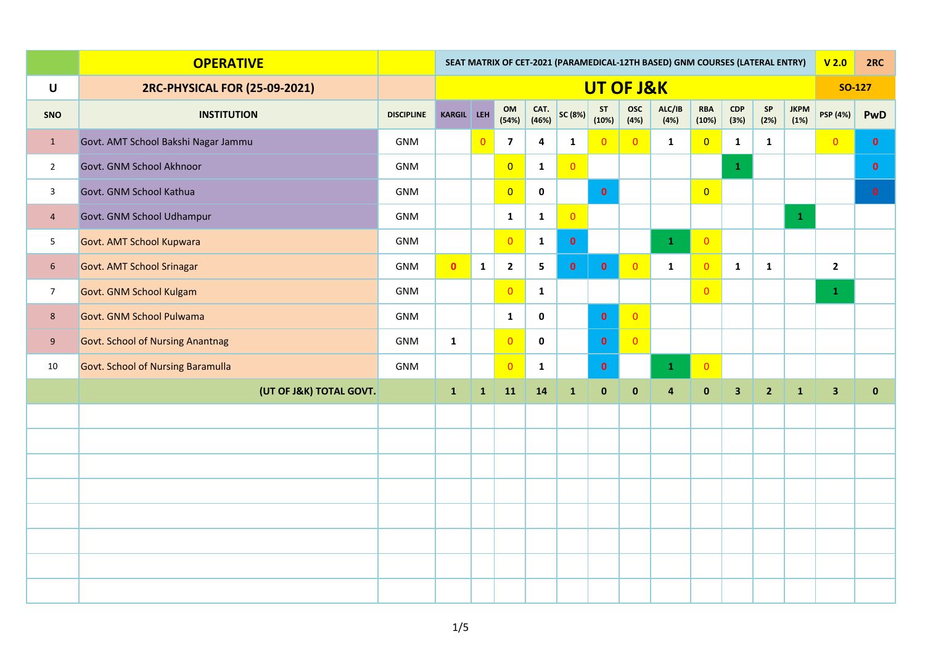|                 | <b>OPERATIVE</b>                         |                   | SEAT MATRIX OF CET-2021 (PARAMEDICAL-12TH BASED) GNM COURSES (LATERAL ENTRY) |                |                         |                         |                |                    |                    |                         |                     |                         |                |                     |                         | 2RC           |
|-----------------|------------------------------------------|-------------------|------------------------------------------------------------------------------|----------------|-------------------------|-------------------------|----------------|--------------------|--------------------|-------------------------|---------------------|-------------------------|----------------|---------------------|-------------------------|---------------|
| $\mathsf U$     | 2RC-PHYSICAL FOR (25-09-2021)            |                   | UT OF J&K                                                                    |                |                         |                         |                |                    |                    |                         |                     |                         |                |                     |                         | <b>SO-127</b> |
| SNO             | <b>INSTITUTION</b>                       | <b>DISCIPLINE</b> | KARGIL LEH                                                                   |                | OM<br>(54%)             | CAT.<br>(46%)           | SC (8%)        | <b>ST</b><br>(10%) | <b>OSC</b><br>(4%) | ALC/IB<br>(4%)          | <b>RBA</b><br>(10%) | CDP<br>(3%)             | SP<br>(2%)     | <b>JKPM</b><br>(1%) | <b>PSP</b> (4%)         | <b>PwD</b>    |
| $\mathbf{1}$    | Govt. AMT School Bakshi Nagar Jammu      | GNM               |                                                                              | $\overline{0}$ | $\overline{\mathbf{z}}$ | $\overline{\mathbf{4}}$ | $\mathbf{1}$   | $\overline{0}$     | $\overline{0}$     | $\mathbf{1}$            | $\overline{0}$      | $\mathbf{1}$            | $\mathbf{1}$   |                     | $\overline{0}$          | $\mathbf{0}$  |
| $\overline{2}$  | Govt. GNM School Akhnoor                 | GNM               |                                                                              |                | $\overline{0}$          | $\mathbf{1}$            | $\overline{0}$ |                    |                    |                         |                     | $\mathbf{1}$            |                |                     |                         | $\mathbf{0}$  |
| $\mathsf{3}$    | Govt. GNM School Kathua                  | GNM               |                                                                              |                | $\overline{0}$          | $\mathbf 0$             |                | $\mathbf{0}$       |                    |                         | $\overline{0}$      |                         |                |                     |                         | $\mathbf{0}$  |
| $\overline{4}$  | Govt. GNM School Udhampur                | GNM               |                                                                              |                | $\mathbf{1}$            | $\mathbf{1}$            | $\overline{0}$ |                    |                    |                         |                     |                         |                | $\mathbf{1}$        |                         |               |
| $5\phantom{.0}$ | Govt. AMT School Kupwara                 | GNM               |                                                                              |                | $\overline{0}$          | $\mathbf{1}$            | $\mathbf{0}$   |                    |                    | $\mathbf{1}$            | $\overline{0}$      |                         |                |                     |                         |               |
| $6\phantom{.}6$ | Govt. AMT School Srinagar                | GNM               | $\mathbf{0}$                                                                 | $\mathbf{1}$   | $\overline{\mathbf{2}}$ | 5                       | $\mathbf{0}$   | $\mathbf{0}$       | $\overline{0}$     | $\mathbf{1}$            | $\overline{0}$      | $\mathbf{1}$            | $\mathbf{1}$   |                     | $\overline{2}$          |               |
| 7 <sup>7</sup>  | Govt. GNM School Kulgam                  | GNM               |                                                                              |                | $\overline{0}$          | $\mathbf{1}$            |                |                    |                    |                         | $\overline{0}$      |                         |                |                     | $\mathbf{1}$            |               |
| $8\phantom{.}$  | Govt. GNM School Pulwama                 | GNM               |                                                                              |                | $\mathbf{1}$            | $\mathbf 0$             |                | $\bullet$          | $\overline{0}$     |                         |                     |                         |                |                     |                         |               |
| 9               | <b>Govt. School of Nursing Anantnag</b>  | GNM               | $\mathbf{1}$                                                                 |                | $\overline{0}$          | $\mathbf 0$             |                | $\mathbf{0}$       | $\overline{0}$     |                         |                     |                         |                |                     |                         |               |
| 10              | <b>Govt. School of Nursing Baramulla</b> | GNM               |                                                                              |                | $\overline{0}$          | $\mathbf{1}$            |                | $\mathbf{0}$       |                    | $\mathbf{1}$            | $\overline{0}$      |                         |                |                     |                         |               |
|                 | (UT OF J&K) TOTAL GOVT.                  |                   | $\mathbf{1}$                                                                 | $\mathbf{1}$   | 11                      | 14                      | $\mathbf{1}$   | $\mathbf 0$        | $\pmb{0}$          | $\overline{\mathbf{4}}$ | $\pmb{0}$           | $\overline{\mathbf{3}}$ | 2 <sup>2</sup> | $\mathbf 1$         | $\overline{\mathbf{3}}$ | $\pmb{0}$     |
|                 |                                          |                   |                                                                              |                |                         |                         |                |                    |                    |                         |                     |                         |                |                     |                         |               |
|                 |                                          |                   |                                                                              |                |                         |                         |                |                    |                    |                         |                     |                         |                |                     |                         |               |
|                 |                                          |                   |                                                                              |                |                         |                         |                |                    |                    |                         |                     |                         |                |                     |                         |               |
|                 |                                          |                   |                                                                              |                |                         |                         |                |                    |                    |                         |                     |                         |                |                     |                         |               |
|                 |                                          |                   |                                                                              |                |                         |                         |                |                    |                    |                         |                     |                         |                |                     |                         |               |
|                 |                                          |                   |                                                                              |                |                         |                         |                |                    |                    |                         |                     |                         |                |                     |                         |               |
|                 |                                          |                   |                                                                              |                |                         |                         |                |                    |                    |                         |                     |                         |                |                     |                         |               |
|                 |                                          |                   |                                                                              |                |                         |                         |                |                    |                    |                         |                     |                         |                |                     |                         |               |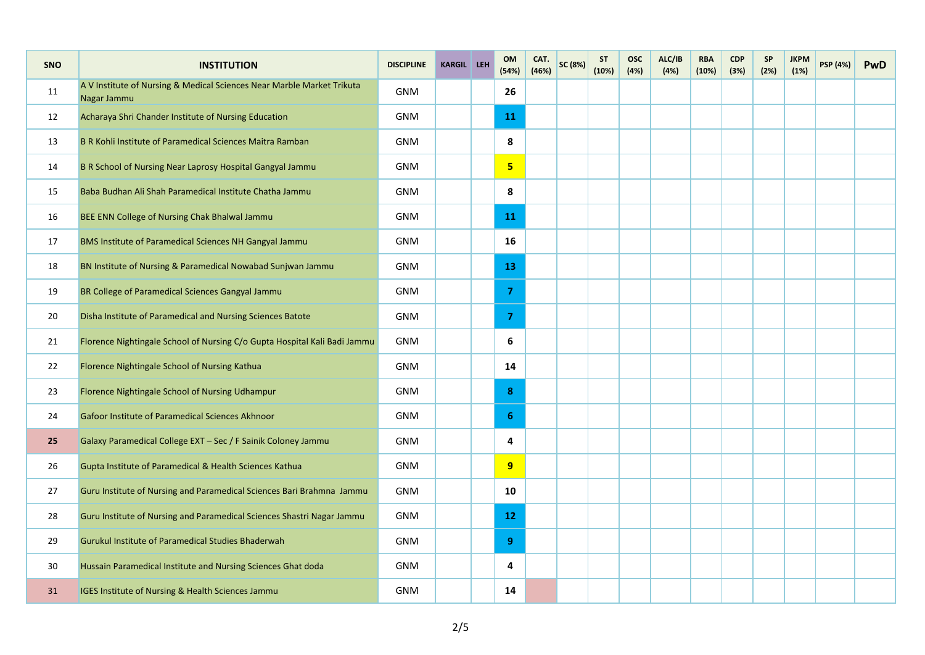| SNO | <b>INSTITUTION</b>                                                                    | <b>DISCIPLINE</b> | <b>KARGIL LEH</b> | OM<br>(54%)             | CAT.<br>(46%) | SC (8%) | <b>ST</b><br>(10%) | <b>OSC</b><br>(4%) | ALC/IB<br>(4%) | <b>RBA</b><br>(10%) | <b>CDP</b><br>(3%) | <b>SP</b><br>(2%) | <b>JKPM</b><br>(1%) | <b>PSP</b> (4%) | <b>PwD</b> |
|-----|---------------------------------------------------------------------------------------|-------------------|-------------------|-------------------------|---------------|---------|--------------------|--------------------|----------------|---------------------|--------------------|-------------------|---------------------|-----------------|------------|
| 11  | A V Institute of Nursing & Medical Sciences Near Marble Market Trikuta<br>Nagar Jammu | <b>GNM</b>        |                   | 26                      |               |         |                    |                    |                |                     |                    |                   |                     |                 |            |
| 12  | Acharaya Shri Chander Institute of Nursing Education                                  | <b>GNM</b>        |                   | <b>11</b>               |               |         |                    |                    |                |                     |                    |                   |                     |                 |            |
| 13  | B R Kohli Institute of Paramedical Sciences Maitra Ramban                             | <b>GNM</b>        |                   | 8                       |               |         |                    |                    |                |                     |                    |                   |                     |                 |            |
| 14  | B R School of Nursing Near Laprosy Hospital Gangyal Jammu                             | <b>GNM</b>        |                   | $\overline{\mathbf{5}}$ |               |         |                    |                    |                |                     |                    |                   |                     |                 |            |
| 15  | Baba Budhan Ali Shah Paramedical Institute Chatha Jammu                               | <b>GNM</b>        |                   | 8                       |               |         |                    |                    |                |                     |                    |                   |                     |                 |            |
| 16  | BEE ENN College of Nursing Chak Bhalwal Jammu                                         | <b>GNM</b>        |                   | 11                      |               |         |                    |                    |                |                     |                    |                   |                     |                 |            |
| 17  | BMS Institute of Paramedical Sciences NH Gangyal Jammu                                | <b>GNM</b>        |                   | 16                      |               |         |                    |                    |                |                     |                    |                   |                     |                 |            |
| 18  | BN Institute of Nursing & Paramedical Nowabad Sunjwan Jammu                           | <b>GNM</b>        |                   | 13                      |               |         |                    |                    |                |                     |                    |                   |                     |                 |            |
| 19  | BR College of Paramedical Sciences Gangyal Jammu                                      | <b>GNM</b>        |                   | $\overline{7}$          |               |         |                    |                    |                |                     |                    |                   |                     |                 |            |
| 20  | Disha Institute of Paramedical and Nursing Sciences Batote                            | <b>GNM</b>        |                   | $\overline{7}$          |               |         |                    |                    |                |                     |                    |                   |                     |                 |            |
| 21  | Florence Nightingale School of Nursing C/o Gupta Hospital Kali Badi Jammu             | GNM               |                   | 6                       |               |         |                    |                    |                |                     |                    |                   |                     |                 |            |
| 22  | Florence Nightingale School of Nursing Kathua                                         | <b>GNM</b>        |                   | 14                      |               |         |                    |                    |                |                     |                    |                   |                     |                 |            |
| 23  | Florence Nightingale School of Nursing Udhampur                                       | <b>GNM</b>        |                   | 8                       |               |         |                    |                    |                |                     |                    |                   |                     |                 |            |
| 24  | Gafoor Institute of Paramedical Sciences Akhnoor                                      | <b>GNM</b>        |                   | 6                       |               |         |                    |                    |                |                     |                    |                   |                     |                 |            |
| 25  | Galaxy Paramedical College EXT - Sec / F Sainik Coloney Jammu                         | <b>GNM</b>        |                   | 4                       |               |         |                    |                    |                |                     |                    |                   |                     |                 |            |
| 26  | Gupta Institute of Paramedical & Health Sciences Kathua                               | <b>GNM</b>        |                   | 9                       |               |         |                    |                    |                |                     |                    |                   |                     |                 |            |
| 27  | Guru Institute of Nursing and Paramedical Sciences Bari Brahmna Jammu                 | <b>GNM</b>        |                   | 10                      |               |         |                    |                    |                |                     |                    |                   |                     |                 |            |
| 28  | Guru Institute of Nursing and Paramedical Sciences Shastri Nagar Jammu                | <b>GNM</b>        |                   | 12                      |               |         |                    |                    |                |                     |                    |                   |                     |                 |            |
| 29  | Gurukul Institute of Paramedical Studies Bhaderwah                                    | <b>GNM</b>        |                   | 9                       |               |         |                    |                    |                |                     |                    |                   |                     |                 |            |
| 30  | Hussain Paramedical Institute and Nursing Sciences Ghat doda                          | GNM               |                   | 4                       |               |         |                    |                    |                |                     |                    |                   |                     |                 |            |
| 31  | IGES Institute of Nursing & Health Sciences Jammu                                     | <b>GNM</b>        |                   | 14                      |               |         |                    |                    |                |                     |                    |                   |                     |                 |            |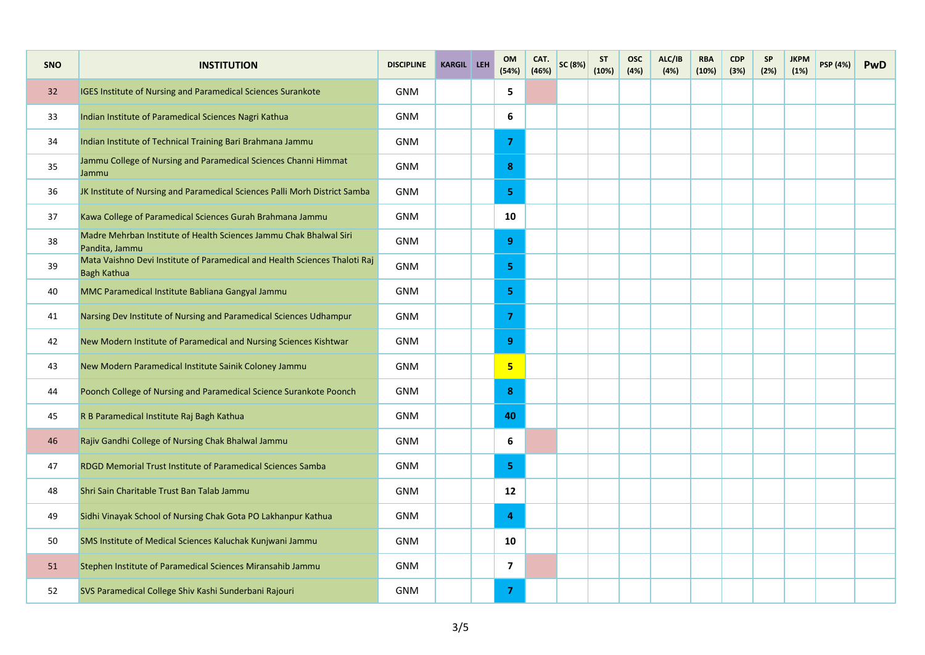| <b>SNO</b>      | <b>INSTITUTION</b>                                                                               | <b>DISCIPLINE</b> | <b>KARGIL</b> LEH | OM<br>(54%)    | CAT.<br>(46%) | SC (8%) | <b>ST</b><br>(10%) | <b>OSC</b><br>(4%) | ALC/IB<br>(4%) | <b>RBA</b><br>(10%) | <b>CDP</b><br>(3%) | <b>SP</b><br>(2%) | <b>JKPM</b><br>(1%) | <b>PSP</b> (4%) | <b>PwD</b> |
|-----------------|--------------------------------------------------------------------------------------------------|-------------------|-------------------|----------------|---------------|---------|--------------------|--------------------|----------------|---------------------|--------------------|-------------------|---------------------|-----------------|------------|
| 32 <sup>2</sup> | IGES Institute of Nursing and Paramedical Sciences Surankote                                     | <b>GNM</b>        |                   | 5              |               |         |                    |                    |                |                     |                    |                   |                     |                 |            |
| 33              | Indian Institute of Paramedical Sciences Nagri Kathua                                            | <b>GNM</b>        |                   | 6              |               |         |                    |                    |                |                     |                    |                   |                     |                 |            |
| 34              | Indian Institute of Technical Training Bari Brahmana Jammu                                       | <b>GNM</b>        |                   | $\overline{7}$ |               |         |                    |                    |                |                     |                    |                   |                     |                 |            |
| 35              | Jammu College of Nursing and Paramedical Sciences Channi Himmat<br>Jammu                         | <b>GNM</b>        |                   | 8              |               |         |                    |                    |                |                     |                    |                   |                     |                 |            |
| 36              | JK Institute of Nursing and Paramedical Sciences Palli Morh District Samba                       | <b>GNM</b>        |                   | 5              |               |         |                    |                    |                |                     |                    |                   |                     |                 |            |
| 37              | Kawa College of Paramedical Sciences Gurah Brahmana Jammu                                        | <b>GNM</b>        |                   | 10             |               |         |                    |                    |                |                     |                    |                   |                     |                 |            |
| 38              | Madre Mehrban Institute of Health Sciences Jammu Chak Bhalwal Siri<br>Pandita, Jammu             | GNM               |                   | 9              |               |         |                    |                    |                |                     |                    |                   |                     |                 |            |
| 39              | Mata Vaishno Devi Institute of Paramedical and Health Sciences Thaloti Raj<br><b>Bagh Kathua</b> | <b>GNM</b>        |                   | 5              |               |         |                    |                    |                |                     |                    |                   |                     |                 |            |
| 40              | MMC Paramedical Institute Babliana Gangyal Jammu                                                 | <b>GNM</b>        |                   | 5              |               |         |                    |                    |                |                     |                    |                   |                     |                 |            |
| 41              | Narsing Dev Institute of Nursing and Paramedical Sciences Udhampur                               | <b>GNM</b>        |                   | $\overline{7}$ |               |         |                    |                    |                |                     |                    |                   |                     |                 |            |
| 42              | New Modern Institute of Paramedical and Nursing Sciences Kishtwar                                | <b>GNM</b>        |                   | 9              |               |         |                    |                    |                |                     |                    |                   |                     |                 |            |
| 43              | New Modern Paramedical Institute Sainik Coloney Jammu                                            | <b>GNM</b>        |                   | 5              |               |         |                    |                    |                |                     |                    |                   |                     |                 |            |
| 44              | Poonch College of Nursing and Paramedical Science Surankote Poonch                               | <b>GNM</b>        |                   | 8              |               |         |                    |                    |                |                     |                    |                   |                     |                 |            |
| 45              | R B Paramedical Institute Raj Bagh Kathua                                                        | <b>GNM</b>        |                   | 40             |               |         |                    |                    |                |                     |                    |                   |                     |                 |            |
| 46              | Rajiv Gandhi College of Nursing Chak Bhalwal Jammu                                               | <b>GNM</b>        |                   | 6              |               |         |                    |                    |                |                     |                    |                   |                     |                 |            |
| 47              | RDGD Memorial Trust Institute of Paramedical Sciences Samba                                      | <b>GNM</b>        |                   | 5              |               |         |                    |                    |                |                     |                    |                   |                     |                 |            |
| 48              | Shri Sain Charitable Trust Ban Talab Jammu                                                       | <b>GNM</b>        |                   | 12             |               |         |                    |                    |                |                     |                    |                   |                     |                 |            |
| 49              | Sidhi Vinayak School of Nursing Chak Gota PO Lakhanpur Kathua                                    | <b>GNM</b>        |                   | $\overline{4}$ |               |         |                    |                    |                |                     |                    |                   |                     |                 |            |
| 50              | SMS Institute of Medical Sciences Kaluchak Kunjwani Jammu                                        | <b>GNM</b>        |                   | 10             |               |         |                    |                    |                |                     |                    |                   |                     |                 |            |
| 51              | Stephen Institute of Paramedical Sciences Miransahib Jammu                                       | <b>GNM</b>        |                   | $\overline{7}$ |               |         |                    |                    |                |                     |                    |                   |                     |                 |            |
| 52              | SVS Paramedical College Shiv Kashi Sunderbani Rajouri                                            | <b>GNM</b>        |                   | $\overline{7}$ |               |         |                    |                    |                |                     |                    |                   |                     |                 |            |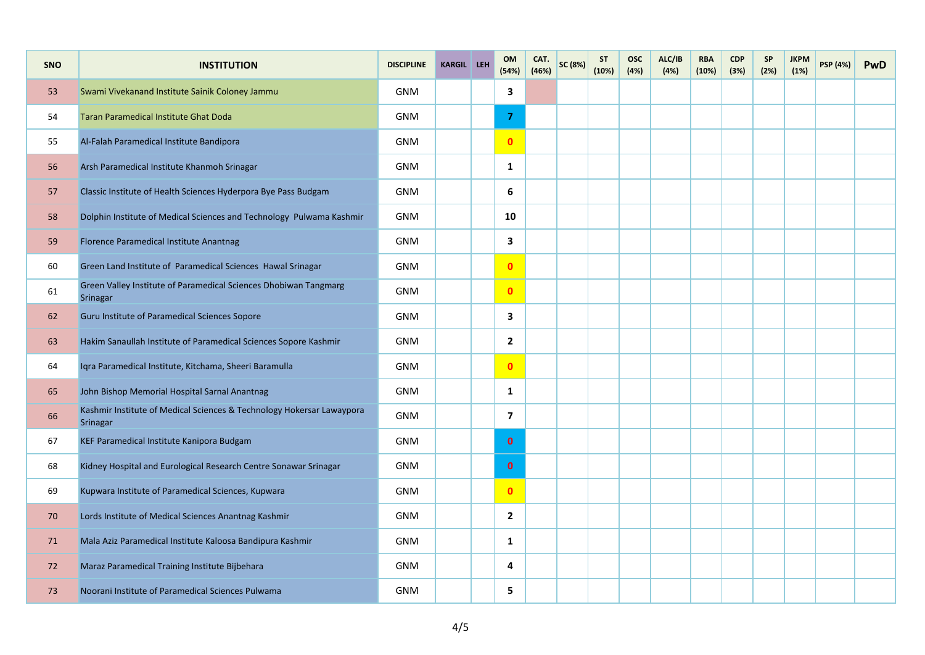| <b>SNO</b> | <b>INSTITUTION</b>                                                                | <b>DISCIPLINE</b> | <b>KARGIL</b> LEH | OM<br>(54%)    | CAT.<br>(46%) | SC (8%) | <b>ST</b><br>(10%) | <b>OSC</b><br>(4%) | ALC/IB<br>(4%) | <b>RBA</b><br>(10%) | <b>CDP</b><br>(3%) | <b>SP</b><br>(2%) | <b>JKPM</b><br>(1%) | <b>PSP</b> (4%) | <b>PwD</b> |
|------------|-----------------------------------------------------------------------------------|-------------------|-------------------|----------------|---------------|---------|--------------------|--------------------|----------------|---------------------|--------------------|-------------------|---------------------|-----------------|------------|
| 53         | Swami Vivekanand Institute Sainik Coloney Jammu                                   | <b>GNM</b>        |                   | $\mathbf{3}$   |               |         |                    |                    |                |                     |                    |                   |                     |                 |            |
| 54         | <b>Taran Paramedical Institute Ghat Doda</b>                                      | <b>GNM</b>        |                   | $\overline{7}$ |               |         |                    |                    |                |                     |                    |                   |                     |                 |            |
| 55         | Al-Falah Paramedical Institute Bandipora                                          | <b>GNM</b>        |                   | $\mathbf{0}$   |               |         |                    |                    |                |                     |                    |                   |                     |                 |            |
| 56         | Arsh Paramedical Institute Khanmoh Srinagar                                       | <b>GNM</b>        |                   | 1              |               |         |                    |                    |                |                     |                    |                   |                     |                 |            |
| 57         | Classic Institute of Health Sciences Hyderpora Bye Pass Budgam                    | <b>GNM</b>        |                   | 6              |               |         |                    |                    |                |                     |                    |                   |                     |                 |            |
| 58         | Dolphin Institute of Medical Sciences and Technology Pulwama Kashmir              | <b>GNM</b>        |                   | 10             |               |         |                    |                    |                |                     |                    |                   |                     |                 |            |
| 59         | Florence Paramedical Institute Anantnag                                           | <b>GNM</b>        |                   | $\mathbf{3}$   |               |         |                    |                    |                |                     |                    |                   |                     |                 |            |
| 60         | Green Land Institute of Paramedical Sciences Hawal Srinagar                       | <b>GNM</b>        |                   | $\mathbf{0}$   |               |         |                    |                    |                |                     |                    |                   |                     |                 |            |
| 61         | Green Valley Institute of Paramedical Sciences Dhobiwan Tangmarg<br>Srinagar      | <b>GNM</b>        |                   | $\mathbf{0}$   |               |         |                    |                    |                |                     |                    |                   |                     |                 |            |
| 62         | Guru Institute of Paramedical Sciences Sopore                                     | <b>GNM</b>        |                   | 3              |               |         |                    |                    |                |                     |                    |                   |                     |                 |            |
| 63         | Hakim Sanaullah Institute of Paramedical Sciences Sopore Kashmir                  | <b>GNM</b>        |                   | $\overline{2}$ |               |         |                    |                    |                |                     |                    |                   |                     |                 |            |
| 64         | Iqra Paramedical Institute, Kitchama, Sheeri Baramulla                            | <b>GNM</b>        |                   | $\mathbf{0}$   |               |         |                    |                    |                |                     |                    |                   |                     |                 |            |
| 65         | John Bishop Memorial Hospital Sarnal Anantnag                                     | <b>GNM</b>        |                   | $\mathbf{1}$   |               |         |                    |                    |                |                     |                    |                   |                     |                 |            |
| 66         | Kashmir Institute of Medical Sciences & Technology Hokersar Lawaypora<br>Srinagar | <b>GNM</b>        |                   | $\overline{7}$ |               |         |                    |                    |                |                     |                    |                   |                     |                 |            |
| 67         | KEF Paramedical Institute Kanipora Budgam                                         | <b>GNM</b>        |                   | $\mathbf{0}$   |               |         |                    |                    |                |                     |                    |                   |                     |                 |            |
| 68         | Kidney Hospital and Eurological Research Centre Sonawar Srinagar                  | <b>GNM</b>        |                   | $\mathbf{0}$   |               |         |                    |                    |                |                     |                    |                   |                     |                 |            |
| 69         | Kupwara Institute of Paramedical Sciences, Kupwara                                | <b>GNM</b>        |                   | $\mathbf{0}$   |               |         |                    |                    |                |                     |                    |                   |                     |                 |            |
| 70         | Lords Institute of Medical Sciences Anantnag Kashmir                              | <b>GNM</b>        |                   | $\overline{2}$ |               |         |                    |                    |                |                     |                    |                   |                     |                 |            |
| 71         | Mala Aziz Paramedical Institute Kaloosa Bandipura Kashmir                         | <b>GNM</b>        |                   | $\mathbf{1}$   |               |         |                    |                    |                |                     |                    |                   |                     |                 |            |
| 72         | Maraz Paramedical Training Institute Bijbehara                                    | <b>GNM</b>        |                   | 4              |               |         |                    |                    |                |                     |                    |                   |                     |                 |            |
| 73         | Noorani Institute of Paramedical Sciences Pulwama                                 | <b>GNM</b>        |                   | 5              |               |         |                    |                    |                |                     |                    |                   |                     |                 |            |